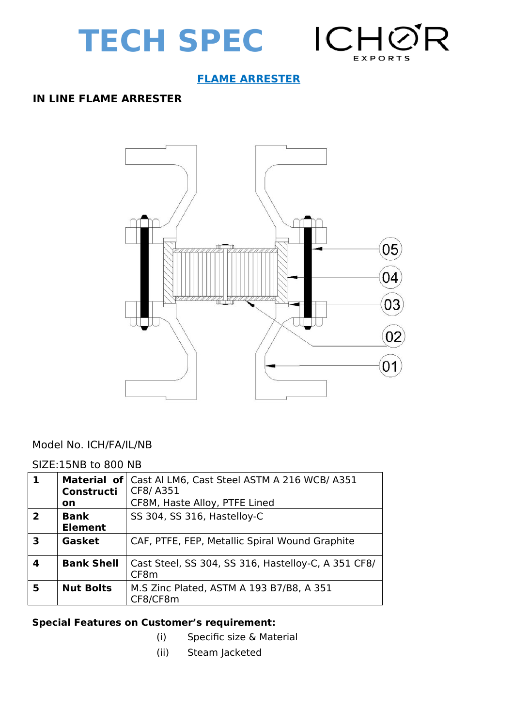



## **FLAME ARRESTER**

#### **IN LINE FLAME ARRESTER**



#### Model No. ICH/FA/IL/NB

#### SIZE:15NB to 800 NB

| 1              | Constructi<br>on              | Material of Cast AI LM6, Cast Steel ASTM A 216 WCB/ A351<br>CF8/A351<br>CF8M, Haste Alloy, PTFE Lined |
|----------------|-------------------------------|-------------------------------------------------------------------------------------------------------|
| $\overline{2}$ | <b>Bank</b><br><b>Element</b> | SS 304, SS 316, Hastelloy-C                                                                           |
| 3              | Gasket                        | CAF, PTFE, FEP, Metallic Spiral Wound Graphite                                                        |
| Δ              | <b>Bank Shell</b>             | Cast Steel, SS 304, SS 316, Hastelloy-C, A 351 CF8/<br>CF8 <sub>m</sub>                               |
| 5              | <b>Nut Bolts</b>              | M.S Zinc Plated, ASTM A 193 B7/B8, A 351<br>CF8/CF8m                                                  |

## **Special Features on Customer's requirement:**

- (i) Specific size & Material
- (ii) Steam Jacketed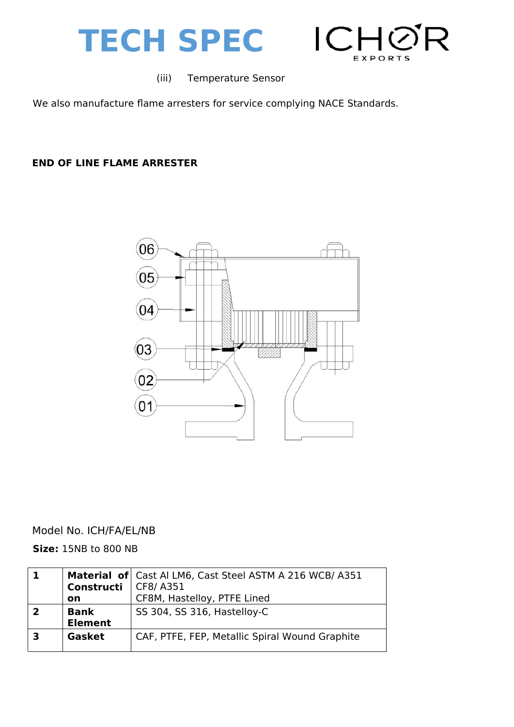



(iii) Temperature Sensor

We also manufacture flame arresters for service complying NACE Standards.

### **END OF LINE FLAME ARRESTER**



## Model No. ICH/FA/EL/NB

**Size:** 15NB to 800 NB

| Constructi<br><b>on</b>       | Material of Cast AI LM6, Cast Steel ASTM A 216 WCB/A351<br>CF8/A351<br>CF8M, Hastelloy, PTFE Lined |  |
|-------------------------------|----------------------------------------------------------------------------------------------------|--|
| <b>Bank</b><br><b>Element</b> | SS 304, SS 316, Hastelloy-C                                                                        |  |
| Gasket                        | CAF, PTFE, FEP, Metallic Spiral Wound Graphite                                                     |  |